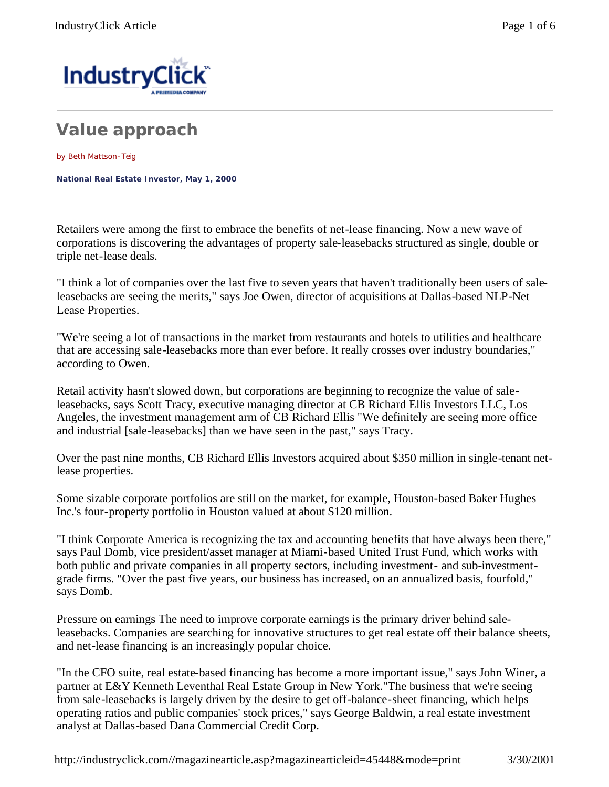

## **Value approach**

by Beth Mattson-Teig

**National Real Estate Investor, May 1, 2000** 

Retailers were among the first to embrace the benefits of net-lease financing. Now a new wave of corporations is discovering the advantages of property sale-leasebacks structured as single, double or triple net-lease deals.

"I think a lot of companies over the last five to seven years that haven't traditionally been users of saleleasebacks are seeing the merits," says Joe Owen, director of acquisitions at Dallas-based NLP-Net Lease Properties.

"We're seeing a lot of transactions in the market from restaurants and hotels to utilities and healthcare that are accessing sale-leasebacks more than ever before. It really crosses over industry boundaries," according to Owen.

Retail activity hasn't slowed down, but corporations are beginning to recognize the value of saleleasebacks, says Scott Tracy, executive managing director at CB Richard Ellis Investors LLC, Los Angeles, the investment management arm of CB Richard Ellis "We definitely are seeing more office and industrial [sale-leasebacks] than we have seen in the past," says Tracy.

Over the past nine months, CB Richard Ellis Investors acquired about \$350 million in single-tenant netlease properties.

Some sizable corporate portfolios are still on the market, for example, Houston-based Baker Hughes Inc.'s four-property portfolio in Houston valued at about \$120 million.

"I think Corporate America is recognizing the tax and accounting benefits that have always been there," says Paul Domb, vice president/asset manager at Miami-based United Trust Fund, which works with both public and private companies in all property sectors, including investment- and sub-investmentgrade firms. "Over the past five years, our business has increased, on an annualized basis, fourfold," says Domb.

Pressure on earnings The need to improve corporate earnings is the primary driver behind saleleasebacks. Companies are searching for innovative structures to get real estate off their balance sheets, and net-lease financing is an increasingly popular choice.

"In the CFO suite, real estate-based financing has become a more important issue," says John Winer, a partner at E&Y Kenneth Leventhal Real Estate Group in New York."The business that we're seeing from sale-leasebacks is largely driven by the desire to get off-balance-sheet financing, which helps operating ratios and public companies' stock prices," says George Baldwin, a real estate investment analyst at Dallas-based Dana Commercial Credit Corp.

http://industryclick.com//magazinearticle.asp?magazinearticleid=45448&mode=print 3/30/2001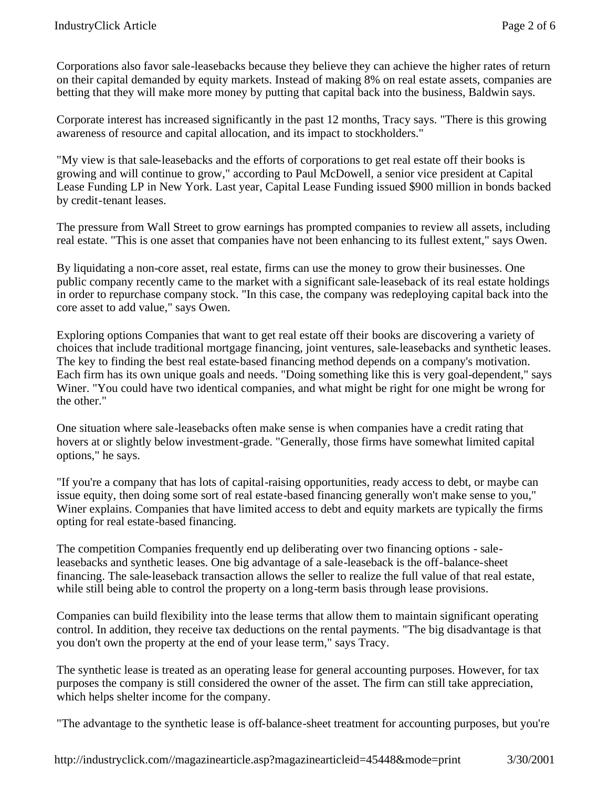Corporations also favor sale-leasebacks because they believe they can achieve the higher rates of return on their capital demanded by equity markets. Instead of making 8% on real estate assets, companies are betting that they will make more money by putting that capital back into the business, Baldwin says.

Corporate interest has increased significantly in the past 12 months, Tracy says. "There is this growing awareness of resource and capital allocation, and its impact to stockholders."

"My view is that sale-leasebacks and the efforts of corporations to get real estate off their books is growing and will continue to grow," according to Paul McDowell, a senior vice president at Capital Lease Funding LP in New York. Last year, Capital Lease Funding issued \$900 million in bonds backed by credit-tenant leases.

The pressure from Wall Street to grow earnings has prompted companies to review all assets, including real estate. "This is one asset that companies have not been enhancing to its fullest extent," says Owen.

By liquidating a non-core asset, real estate, firms can use the money to grow their businesses. One public company recently came to the market with a significant sale-leaseback of its real estate holdings in order to repurchase company stock. "In this case, the company was redeploying capital back into the core asset to add value," says Owen.

Exploring options Companies that want to get real estate off their books are discovering a variety of choices that include traditional mortgage financing, joint ventures, sale-leasebacks and synthetic leases. The key to finding the best real estate-based financing method depends on a company's motivation. Each firm has its own unique goals and needs. "Doing something like this is very goal-dependent," says Winer. "You could have two identical companies, and what might be right for one might be wrong for the other."

One situation where sale-leasebacks often make sense is when companies have a credit rating that hovers at or slightly below investment-grade. "Generally, those firms have somewhat limited capital options," he says.

"If you're a company that has lots of capital-raising opportunities, ready access to debt, or maybe can issue equity, then doing some sort of real estate-based financing generally won't make sense to you," Winer explains. Companies that have limited access to debt and equity markets are typically the firms opting for real estate-based financing.

The competition Companies frequently end up deliberating over two financing options - saleleasebacks and synthetic leases. One big advantage of a sale-leaseback is the off-balance-sheet financing. The sale-leaseback transaction allows the seller to realize the full value of that real estate, while still being able to control the property on a long-term basis through lease provisions.

Companies can build flexibility into the lease terms that allow them to maintain significant operating control. In addition, they receive tax deductions on the rental payments. "The big disadvantage is that you don't own the property at the end of your lease term," says Tracy.

The synthetic lease is treated as an operating lease for general accounting purposes. However, for tax purposes the company is still considered the owner of the asset. The firm can still take appreciation, which helps shelter income for the company.

"The advantage to the synthetic lease is off-balance-sheet treatment for accounting purposes, but you're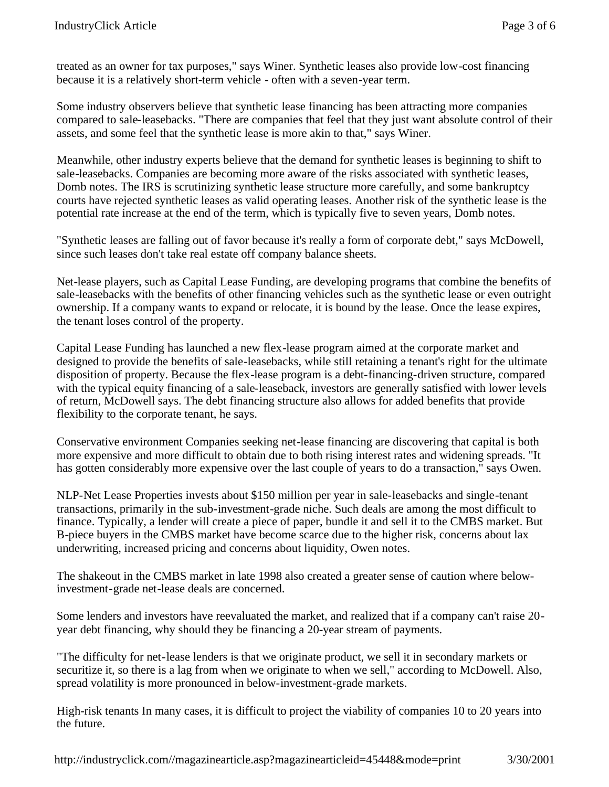treated as an owner for tax purposes," says Winer. Synthetic leases also provide low-cost financing because it is a relatively short-term vehicle - often with a seven-year term.

Some industry observers believe that synthetic lease financing has been attracting more companies compared to sale-leasebacks. "There are companies that feel that they just want absolute control of their assets, and some feel that the synthetic lease is more akin to that," says Winer.

Meanwhile, other industry experts believe that the demand for synthetic leases is beginning to shift to sale-leasebacks. Companies are becoming more aware of the risks associated with synthetic leases, Domb notes. The IRS is scrutinizing synthetic lease structure more carefully, and some bankruptcy courts have rejected synthetic leases as valid operating leases. Another risk of the synthetic lease is the potential rate increase at the end of the term, which is typically five to seven years, Domb notes.

"Synthetic leases are falling out of favor because it's really a form of corporate debt," says McDowell, since such leases don't take real estate off company balance sheets.

Net-lease players, such as Capital Lease Funding, are developing programs that combine the benefits of sale-leasebacks with the benefits of other financing vehicles such as the synthetic lease or even outright ownership. If a company wants to expand or relocate, it is bound by the lease. Once the lease expires, the tenant loses control of the property.

Capital Lease Funding has launched a new flex-lease program aimed at the corporate market and designed to provide the benefits of sale-leasebacks, while still retaining a tenant's right for the ultimate disposition of property. Because the flex-lease program is a debt-financing-driven structure, compared with the typical equity financing of a sale-leaseback, investors are generally satisfied with lower levels of return, McDowell says. The debt financing structure also allows for added benefits that provide flexibility to the corporate tenant, he says.

Conservative environment Companies seeking net-lease financing are discovering that capital is both more expensive and more difficult to obtain due to both rising interest rates and widening spreads. "It has gotten considerably more expensive over the last couple of years to do a transaction," says Owen.

NLP-Net Lease Properties invests about \$150 million per year in sale-leasebacks and single-tenant transactions, primarily in the sub-investment-grade niche. Such deals are among the most difficult to finance. Typically, a lender will create a piece of paper, bundle it and sell it to the CMBS market. But B-piece buyers in the CMBS market have become scarce due to the higher risk, concerns about lax underwriting, increased pricing and concerns about liquidity, Owen notes.

The shakeout in the CMBS market in late 1998 also created a greater sense of caution where belowinvestment-grade net-lease deals are concerned.

Some lenders and investors have reevaluated the market, and realized that if a company can't raise 20 year debt financing, why should they be financing a 20-year stream of payments.

"The difficulty for net-lease lenders is that we originate product, we sell it in secondary markets or securitize it, so there is a lag from when we originate to when we sell," according to McDowell. Also, spread volatility is more pronounced in below-investment-grade markets.

High-risk tenants In many cases, it is difficult to project the viability of companies 10 to 20 years into the future.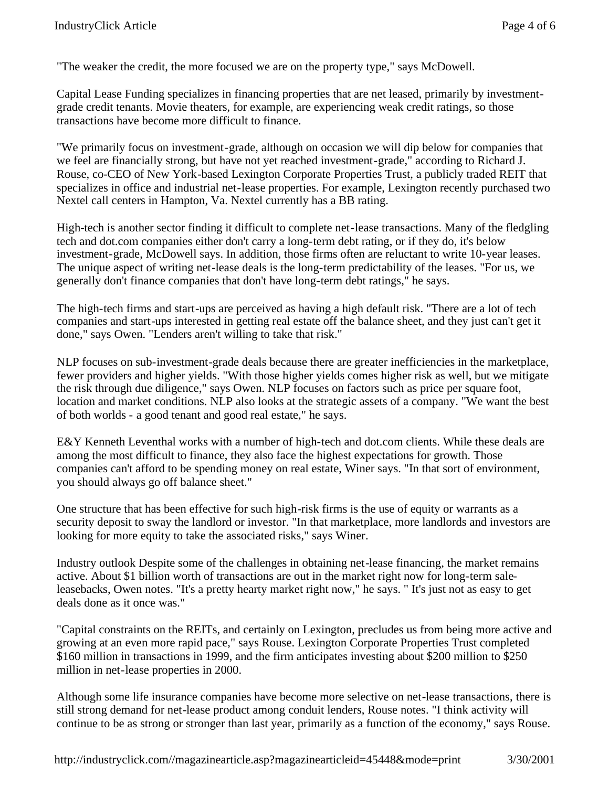"The weaker the credit, the more focused we are on the property type," says McDowell.

Capital Lease Funding specializes in financing properties that are net leased, primarily by investmentgrade credit tenants. Movie theaters, for example, are experiencing weak credit ratings, so those transactions have become more difficult to finance.

"We primarily focus on investment-grade, although on occasion we will dip below for companies that we feel are financially strong, but have not yet reached investment-grade," according to Richard J. Rouse, co-CEO of New York-based Lexington Corporate Properties Trust, a publicly traded REIT that specializes in office and industrial net-lease properties. For example, Lexington recently purchased two Nextel call centers in Hampton, Va. Nextel currently has a BB rating.

High-tech is another sector finding it difficult to complete net-lease transactions. Many of the fledgling tech and dot.com companies either don't carry a long-term debt rating, or if they do, it's below investment-grade, McDowell says. In addition, those firms often are reluctant to write 10-year leases. The unique aspect of writing net-lease deals is the long-term predictability of the leases. "For us, we generally don't finance companies that don't have long-term debt ratings," he says.

The high-tech firms and start-ups are perceived as having a high default risk. "There are a lot of tech companies and start-ups interested in getting real estate off the balance sheet, and they just can't get it done," says Owen. "Lenders aren't willing to take that risk."

NLP focuses on sub-investment-grade deals because there are greater inefficiencies in the marketplace, fewer providers and higher yields. "With those higher yields comes higher risk as well, but we mitigate the risk through due diligence," says Owen. NLP focuses on factors such as price per square foot, location and market conditions. NLP also looks at the strategic assets of a company. "We want the best of both worlds - a good tenant and good real estate," he says.

E&Y Kenneth Leventhal works with a number of high-tech and dot.com clients. While these deals are among the most difficult to finance, they also face the highest expectations for growth. Those companies can't afford to be spending money on real estate, Winer says. "In that sort of environment, you should always go off balance sheet."

One structure that has been effective for such high-risk firms is the use of equity or warrants as a security deposit to sway the landlord or investor. "In that marketplace, more landlords and investors are looking for more equity to take the associated risks," says Winer.

Industry outlook Despite some of the challenges in obtaining net-lease financing, the market remains active. About \$1 billion worth of transactions are out in the market right now for long-term saleleasebacks, Owen notes. "It's a pretty hearty market right now," he says. " It's just not as easy to get deals done as it once was."

"Capital constraints on the REITs, and certainly on Lexington, precludes us from being more active and growing at an even more rapid pace," says Rouse. Lexington Corporate Properties Trust completed \$160 million in transactions in 1999, and the firm anticipates investing about \$200 million to \$250 million in net-lease properties in 2000.

Although some life insurance companies have become more selective on net-lease transactions, there is still strong demand for net-lease product among conduit lenders, Rouse notes. "I think activity will continue to be as strong or stronger than last year, primarily as a function of the economy," says Rouse.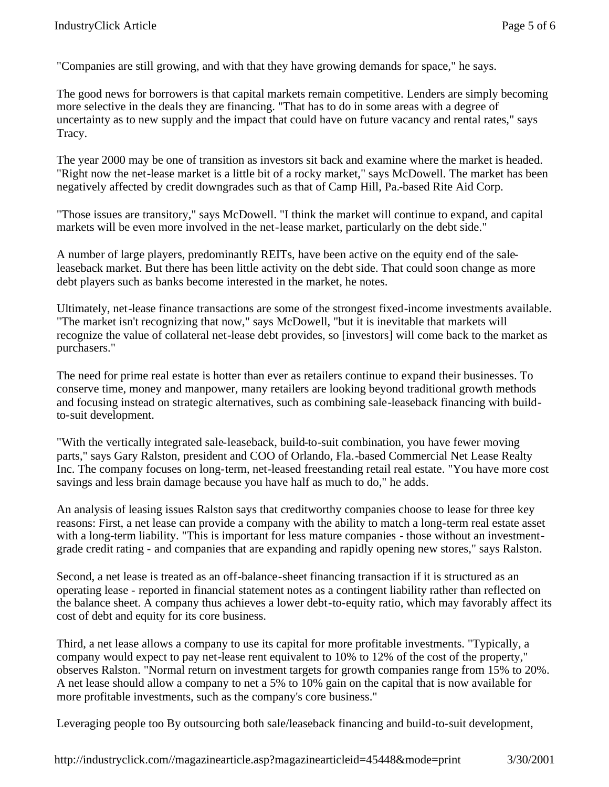"Companies are still growing, and with that they have growing demands for space," he says.

The good news for borrowers is that capital markets remain competitive. Lenders are simply becoming more selective in the deals they are financing. "That has to do in some areas with a degree of uncertainty as to new supply and the impact that could have on future vacancy and rental rates," says Tracy.

The year 2000 may be one of transition as investors sit back and examine where the market is headed. "Right now the net-lease market is a little bit of a rocky market," says McDowell. The market has been negatively affected by credit downgrades such as that of Camp Hill, Pa.-based Rite Aid Corp.

"Those issues are transitory," says McDowell. "I think the market will continue to expand, and capital markets will be even more involved in the net-lease market, particularly on the debt side."

A number of large players, predominantly REITs, have been active on the equity end of the saleleaseback market. But there has been little activity on the debt side. That could soon change as more debt players such as banks become interested in the market, he notes.

Ultimately, net-lease finance transactions are some of the strongest fixed-income investments available. "The market isn't recognizing that now," says McDowell, "but it is inevitable that markets will recognize the value of collateral net-lease debt provides, so [investors] will come back to the market as purchasers."

The need for prime real estate is hotter than ever as retailers continue to expand their businesses. To conserve time, money and manpower, many retailers are looking beyond traditional growth methods and focusing instead on strategic alternatives, such as combining sale-leaseback financing with buildto-suit development.

"With the vertically integrated sale-leaseback, build-to-suit combination, you have fewer moving parts," says Gary Ralston, president and COO of Orlando, Fla.-based Commercial Net Lease Realty Inc. The company focuses on long-term, net-leased freestanding retail real estate. "You have more cost savings and less brain damage because you have half as much to do," he adds.

An analysis of leasing issues Ralston says that creditworthy companies choose to lease for three key reasons: First, a net lease can provide a company with the ability to match a long-term real estate asset with a long-term liability. "This is important for less mature companies - those without an investmentgrade credit rating - and companies that are expanding and rapidly opening new stores," says Ralston.

Second, a net lease is treated as an off-balance-sheet financing transaction if it is structured as an operating lease - reported in financial statement notes as a contingent liability rather than reflected on the balance sheet. A company thus achieves a lower debt-to-equity ratio, which may favorably affect its cost of debt and equity for its core business.

Third, a net lease allows a company to use its capital for more profitable investments. "Typically, a company would expect to pay net-lease rent equivalent to 10% to 12% of the cost of the property," observes Ralston. "Normal return on investment targets for growth companies range from 15% to 20%. A net lease should allow a company to net a 5% to 10% gain on the capital that is now available for more profitable investments, such as the company's core business."

Leveraging people too By outsourcing both sale/leaseback financing and build-to-suit development,